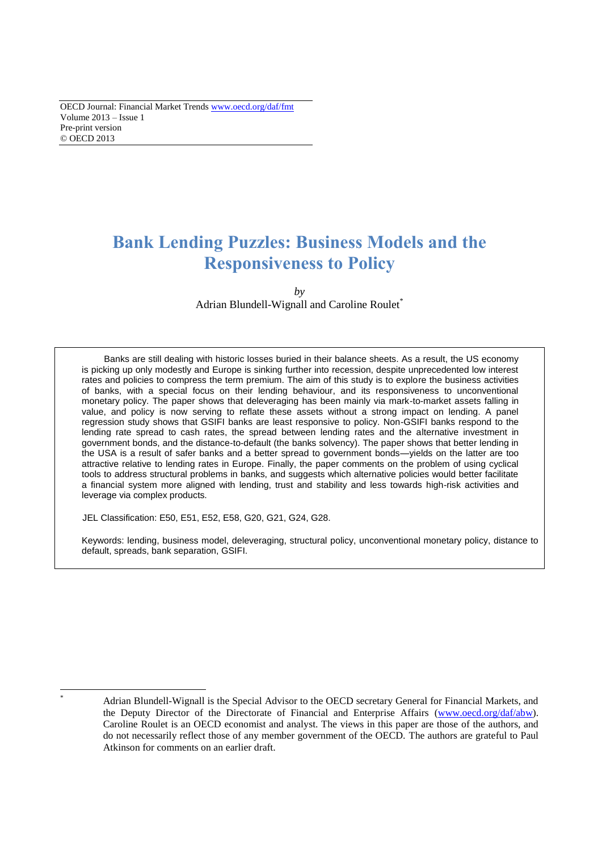# **Bank Lending Puzzles: Business Models and the Responsiveness to Policy**

*by*  Adrian Blundell-Wignall and Caroline Roulet<sup>\*</sup>

Banks are still dealing with historic losses buried in their balance sheets. As a result, the US economy is picking up only modestly and Europe is sinking further into recession, despite unprecedented low interest rates and policies to compress the term premium. The aim of this study is to explore the business activities of banks, with a special focus on their lending behaviour, and its responsiveness to unconventional monetary policy. The paper shows that deleveraging has been mainly via mark-to-market assets falling in value, and policy is now serving to reflate these assets without a strong impact on lending. A panel regression study shows that GSIFI banks are least responsive to policy. Non-GSIFI banks respond to the lending rate spread to cash rates, the spread between lending rates and the alternative investment in government bonds, and the distance-to-default (the banks solvency). The paper shows that better lending in the USA is a result of safer banks and a better spread to government bonds—yields on the latter are too attractive relative to lending rates in Europe. Finally, the paper comments on the problem of using cyclical tools to address structural problems in banks, and suggests which alternative policies would better facilitate a financial system more aligned with lending, trust and stability and less towards high-risk activities and leverage via complex products.

JEL Classification: E50, E51, E52, E58, G20, G21, G24, G28.

Keywords: lending, business model, deleveraging, structural policy, unconventional monetary policy, distance to default, spreads, bank separation, GSIFI.

 $\overline{a}$ 

Adrian Blundell-Wignall is the Special Advisor to the OECD secretary General for Financial Markets, and the Deputy Director of the Directorate of Financial and Enterprise Affairs [\(www.oecd.org/daf/abw\)](http://www.oecd.org/daf/abw). Caroline Roulet is an OECD economist and analyst. The views in this paper are those of the authors, and do not necessarily reflect those of any member government of the OECD. The authors are grateful to Paul Atkinson for comments on an earlier draft.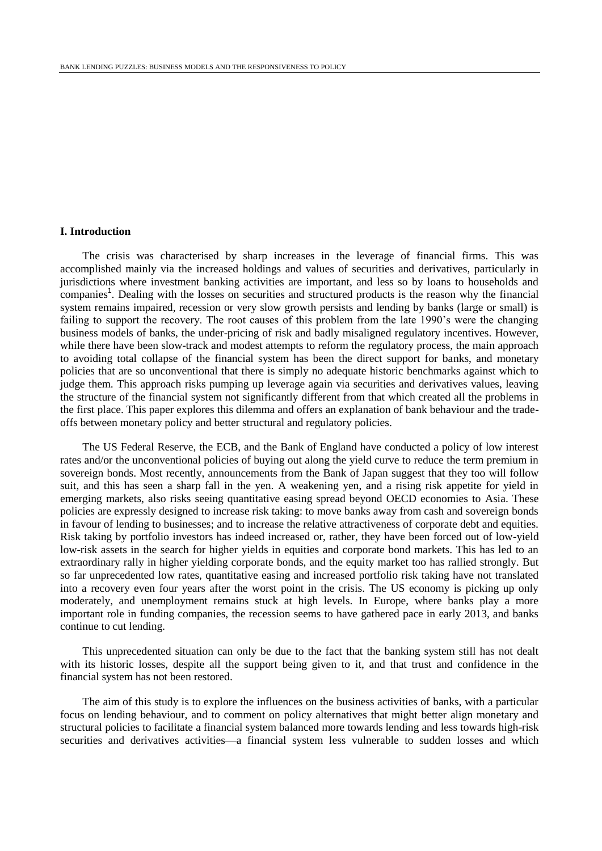## **I. Introduction**

The crisis was characterised by sharp increases in the leverage of financial firms. This was accomplished mainly via the increased holdings and values of securities and derivatives, particularly in jurisdictions where investment banking activities are important, and less so by loans to households and companies<sup>1</sup>. Dealing with the losses on securities and structured products is the reason why the financial system remains impaired, recession or very slow growth persists and lending by banks (large or small) is failing to support the recovery. The root causes of this problem from the late 1990's were the changing business models of banks, the under-pricing of risk and badly misaligned regulatory incentives. However, while there have been slow-track and modest attempts to reform the regulatory process, the main approach to avoiding total collapse of the financial system has been the direct support for banks, and monetary policies that are so unconventional that there is simply no adequate historic benchmarks against which to judge them. This approach risks pumping up leverage again via securities and derivatives values, leaving the structure of the financial system not significantly different from that which created all the problems in the first place. This paper explores this dilemma and offers an explanation of bank behaviour and the tradeoffs between monetary policy and better structural and regulatory policies.

The US Federal Reserve, the ECB, and the Bank of England have conducted a policy of low interest rates and/or the unconventional policies of buying out along the yield curve to reduce the term premium in sovereign bonds. Most recently, announcements from the Bank of Japan suggest that they too will follow suit, and this has seen a sharp fall in the yen. A weakening yen, and a rising risk appetite for yield in emerging markets, also risks seeing quantitative easing spread beyond OECD economies to Asia. These policies are expressly designed to increase risk taking: to move banks away from cash and sovereign bonds in favour of lending to businesses; and to increase the relative attractiveness of corporate debt and equities. Risk taking by portfolio investors has indeed increased or, rather, they have been forced out of low-yield low-risk assets in the search for higher yields in equities and corporate bond markets. This has led to an extraordinary rally in higher yielding corporate bonds, and the equity market too has rallied strongly. But so far unprecedented low rates, quantitative easing and increased portfolio risk taking have not translated into a recovery even four years after the worst point in the crisis. The US economy is picking up only moderately, and unemployment remains stuck at high levels. In Europe, where banks play a more important role in funding companies, the recession seems to have gathered pace in early 2013, and banks continue to cut lending.

This unprecedented situation can only be due to the fact that the banking system still has not dealt with its historic losses, despite all the support being given to it, and that trust and confidence in the financial system has not been restored.

The aim of this study is to explore the influences on the business activities of banks, with a particular focus on lending behaviour, and to comment on policy alternatives that might better align monetary and structural policies to facilitate a financial system balanced more towards lending and less towards high-risk securities and derivatives activities—a financial system less vulnerable to sudden losses and which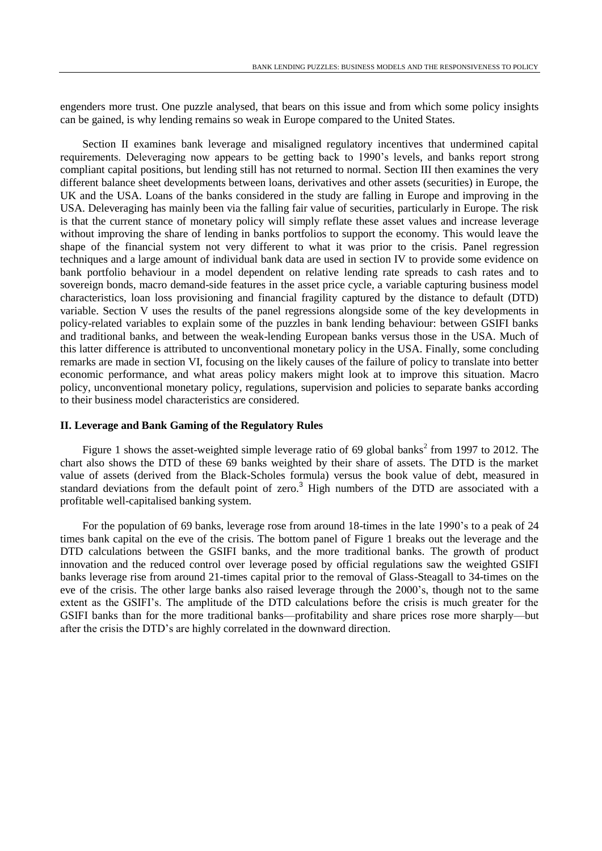engenders more trust. One puzzle analysed, that bears on this issue and from which some policy insights can be gained, is why lending remains so weak in Europe compared to the United States.

Section II examines bank leverage and misaligned regulatory incentives that undermined capital requirements. Deleveraging now appears to be getting back to 1990's levels, and banks report strong compliant capital positions, but lending still has not returned to normal. Section III then examines the very different balance sheet developments between loans, derivatives and other assets (securities) in Europe, the UK and the USA. Loans of the banks considered in the study are falling in Europe and improving in the USA. Deleveraging has mainly been via the falling fair value of securities, particularly in Europe. The risk is that the current stance of monetary policy will simply reflate these asset values and increase leverage without improving the share of lending in banks portfolios to support the economy. This would leave the shape of the financial system not very different to what it was prior to the crisis. Panel regression techniques and a large amount of individual bank data are used in section IV to provide some evidence on bank portfolio behaviour in a model dependent on relative lending rate spreads to cash rates and to sovereign bonds, macro demand-side features in the asset price cycle, a variable capturing business model characteristics, loan loss provisioning and financial fragility captured by the distance to default (DTD) variable. Section V uses the results of the panel regressions alongside some of the key developments in policy-related variables to explain some of the puzzles in bank lending behaviour: between GSIFI banks and traditional banks, and between the weak-lending European banks versus those in the USA. Much of this latter difference is attributed to unconventional monetary policy in the USA. Finally, some concluding remarks are made in section VI, focusing on the likely causes of the failure of policy to translate into better economic performance, and what areas policy makers might look at to improve this situation. Macro policy, unconventional monetary policy, regulations, supervision and policies to separate banks according to their business model characteristics are considered.

#### **II. Leverage and Bank Gaming of the Regulatory Rules**

Figure 1 shows the asset-weighted simple leverage ratio of 69 global banks<sup>2</sup> from 1997 to 2012. The chart also shows the DTD of these 69 banks weighted by their share of assets. The DTD is the market value of assets (derived from the Black-Scholes formula) versus the book value of debt, measured in standard deviations from the default point of zero.<sup>3</sup> High numbers of the DTD are associated with a profitable well-capitalised banking system.

For the population of 69 banks, leverage rose from around 18-times in the late 1990's to a peak of 24 times bank capital on the eve of the crisis. The bottom panel of Figure 1 breaks out the leverage and the DTD calculations between the GSIFI banks, and the more traditional banks. The growth of product innovation and the reduced control over leverage posed by official regulations saw the weighted GSIFI banks leverage rise from around 21-times capital prior to the removal of Glass-Steagall to 34-times on the eve of the crisis. The other large banks also raised leverage through the 2000's, though not to the same extent as the GSIFI's. The amplitude of the DTD calculations before the crisis is much greater for the GSIFI banks than for the more traditional banks—profitability and share prices rose more sharply—but after the crisis the DTD's are highly correlated in the downward direction.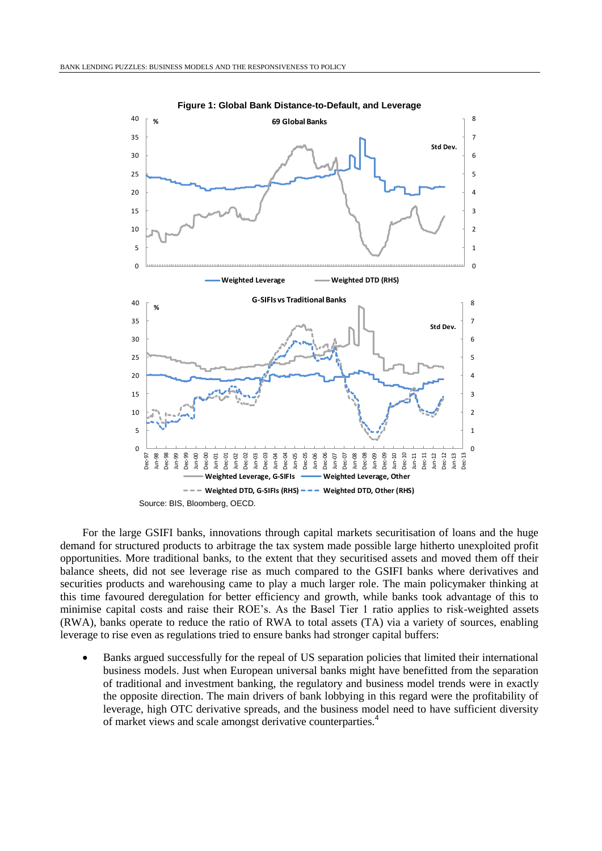

**Figure 1: Global Bank Distance-to-Default, and Leverage**

For the large GSIFI banks, innovations through capital markets securitisation of loans and the huge demand for structured products to arbitrage the tax system made possible large hitherto unexploited profit opportunities. More traditional banks, to the extent that they securitised assets and moved them off their balance sheets, did not see leverage rise as much compared to the GSIFI banks where derivatives and securities products and warehousing came to play a much larger role. The main policymaker thinking at this time favoured deregulation for better efficiency and growth, while banks took advantage of this to minimise capital costs and raise their ROE's. As the Basel Tier 1 ratio applies to risk-weighted assets (RWA), banks operate to reduce the ratio of RWA to total assets (TA) via a variety of sources, enabling leverage to rise even as regulations tried to ensure banks had stronger capital buffers:

 Banks argued successfully for the repeal of US separation policies that limited their international business models. Just when European universal banks might have benefitted from the separation of traditional and investment banking, the regulatory and business model trends were in exactly the opposite direction. The main drivers of bank lobbying in this regard were the profitability of leverage, high OTC derivative spreads, and the business model need to have sufficient diversity of market views and scale amongst derivative counterparties.<sup>4</sup>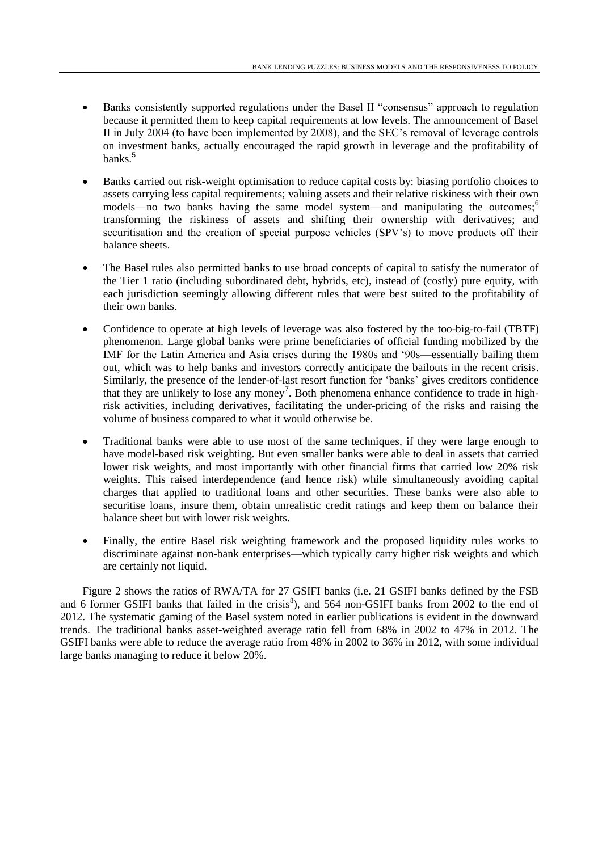- Banks consistently supported regulations under the Basel II "consensus" approach to regulation because it permitted them to keep capital requirements at low levels. The announcement of Basel II in July 2004 (to have been implemented by 2008), and the SEC's removal of leverage controls on investment banks, actually encouraged the rapid growth in leverage and the profitability of banks.<sup>5</sup>
- Banks carried out risk-weight optimisation to reduce capital costs by: biasing portfolio choices to assets carrying less capital requirements; valuing assets and their relative riskiness with their own models—no two banks having the same model system—and manipulating the outcomes;<sup>6</sup> transforming the riskiness of assets and shifting their ownership with derivatives; and securitisation and the creation of special purpose vehicles (SPV's) to move products off their balance sheets.
- The Basel rules also permitted banks to use broad concepts of capital to satisfy the numerator of the Tier 1 ratio (including subordinated debt, hybrids, etc), instead of (costly) pure equity, with each jurisdiction seemingly allowing different rules that were best suited to the profitability of their own banks.
- Confidence to operate at high levels of leverage was also fostered by the too-big-to-fail (TBTF) phenomenon. Large global banks were prime beneficiaries of official funding mobilized by the IMF for the Latin America and Asia crises during the 1980s and '90s—essentially bailing them out, which was to help banks and investors correctly anticipate the bailouts in the recent crisis. Similarly, the presence of the lender-of-last resort function for 'banks' gives creditors confidence that they are unlikely to lose any money<sup>7</sup>. Both phenomena enhance confidence to trade in highrisk activities, including derivatives, facilitating the under-pricing of the risks and raising the volume of business compared to what it would otherwise be.
- Traditional banks were able to use most of the same techniques, if they were large enough to have model-based risk weighting. But even smaller banks were able to deal in assets that carried lower risk weights, and most importantly with other financial firms that carried low 20% risk weights. This raised interdependence (and hence risk) while simultaneously avoiding capital charges that applied to traditional loans and other securities. These banks were also able to securitise loans, insure them, obtain unrealistic credit ratings and keep them on balance their balance sheet but with lower risk weights.
- Finally, the entire Basel risk weighting framework and the proposed liquidity rules works to discriminate against non-bank enterprises—which typically carry higher risk weights and which are certainly not liquid.

Figure 2 shows the ratios of RWA/TA for 27 GSIFI banks (i.e. 21 GSIFI banks defined by the FSB and 6 former GSIFI banks that failed in the crisis<sup>8</sup>), and 564 non-GSIFI banks from 2002 to the end of 2012. The systematic gaming of the Basel system noted in earlier publications is evident in the downward trends. The traditional banks asset-weighted average ratio fell from 68% in 2002 to 47% in 2012. The GSIFI banks were able to reduce the average ratio from 48% in 2002 to 36% in 2012, with some individual large banks managing to reduce it below 20%.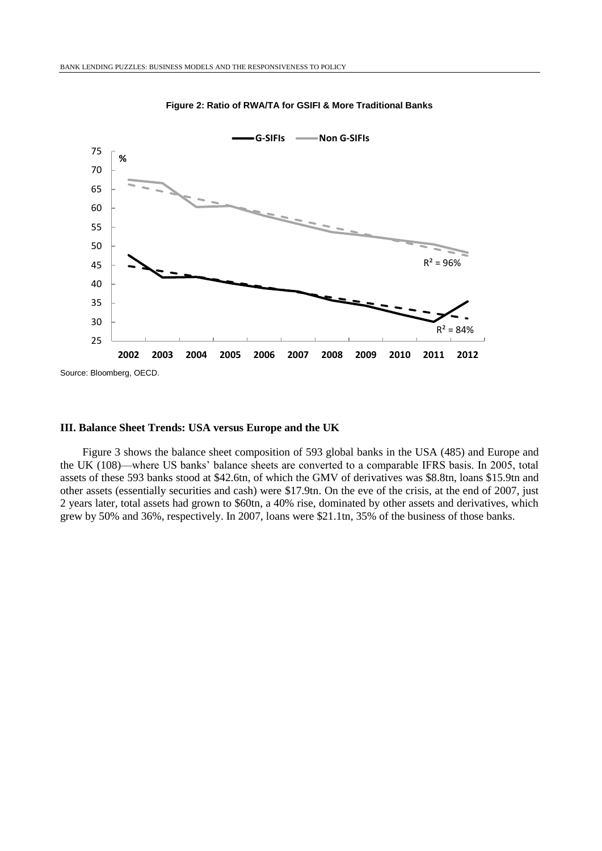

**Figure 2: Ratio of RWA/TA for GSIFI & More Traditional Banks**

#### **III. Balance Sheet Trends: USA versus Europe and the UK**

Figure 3 shows the balance sheet composition of 593 global banks in the USA (485) and Europe and the UK (108)—where US banks' balance sheets are converted to a comparable IFRS basis. In 2005, total assets of these 593 banks stood at \$42.6tn, of which the GMV of derivatives was \$8.8tn, loans \$15.9tn and other assets (essentially securities and cash) were \$17.9tn. On the eve of the crisis, at the end of 2007, just 2 years later, total assets had grown to \$60tn, a 40% rise, dominated by other assets and derivatives, which grew by 50% and 36%, respectively. In 2007, loans were \$21.1tn, 35% of the business of those banks.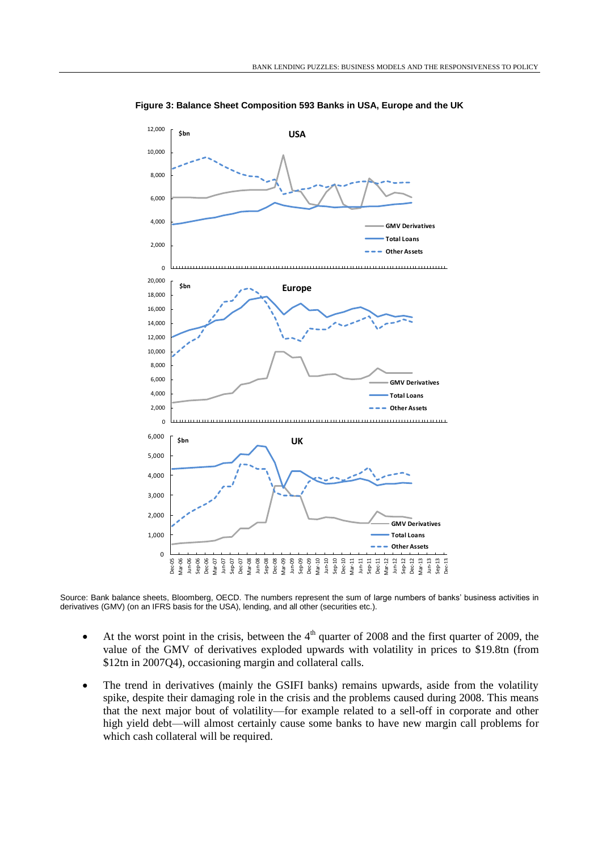

**Figure 3: Balance Sheet Composition 593 Banks in USA, Europe and the UK**

Source: Bank balance sheets, Bloomberg, OECD. The numbers represent the sum of large numbers of banks' business activities in derivatives (GMV) (on an IFRS basis for the USA), lending, and all other (securities etc.).

- $\bullet$  At the worst point in the crisis, between the 4<sup>th</sup> quarter of 2008 and the first quarter of 2009, the value of the GMV of derivatives exploded upwards with volatility in prices to \$19.8tn (from \$12tn in 2007Q4), occasioning margin and collateral calls.
- The trend in derivatives (mainly the GSIFI banks) remains upwards, aside from the volatility spike, despite their damaging role in the crisis and the problems caused during 2008. This means that the next major bout of volatility—for example related to a sell-off in corporate and other high yield debt—will almost certainly cause some banks to have new margin call problems for which cash collateral will be required.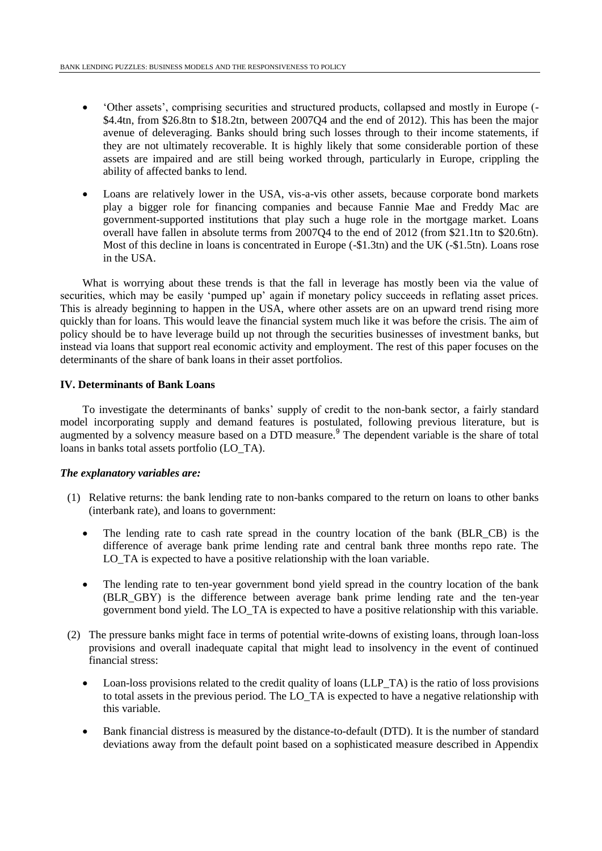- 'Other assets', comprising securities and structured products, collapsed and mostly in Europe (- \$4.4tn, from \$26.8tn to \$18.2tn, between 2007Q4 and the end of 2012). This has been the major avenue of deleveraging. Banks should bring such losses through to their income statements, if they are not ultimately recoverable. It is highly likely that some considerable portion of these assets are impaired and are still being worked through, particularly in Europe, crippling the ability of affected banks to lend.
- Loans are relatively lower in the USA, vis-a-vis other assets, because corporate bond markets play a bigger role for financing companies and because Fannie Mae and Freddy Mac are government-supported institutions that play such a huge role in the mortgage market. Loans overall have fallen in absolute terms from 2007Q4 to the end of 2012 (from \$21.1tn to \$20.6tn). Most of this decline in loans is concentrated in Europe (-\$1.3tn) and the UK (-\$1.5tn). Loans rose in the USA.

What is worrying about these trends is that the fall in leverage has mostly been via the value of securities, which may be easily 'pumped up' again if monetary policy succeeds in reflating asset prices. This is already beginning to happen in the USA, where other assets are on an upward trend rising more quickly than for loans. This would leave the financial system much like it was before the crisis. The aim of policy should be to have leverage build up not through the securities businesses of investment banks, but instead via loans that support real economic activity and employment. The rest of this paper focuses on the determinants of the share of bank loans in their asset portfolios.

## **IV. Determinants of Bank Loans**

To investigate the determinants of banks' supply of credit to the non-bank sector, a fairly standard model incorporating supply and demand features is postulated, following previous literature, but is augmented by a solvency measure based on a DTD measure.<sup>9</sup> The dependent variable is the share of total loans in banks total assets portfolio (LO\_TA).

## *The explanatory variables are:*

- (1) Relative returns: the bank lending rate to non-banks compared to the return on loans to other banks (interbank rate), and loans to government:
	- The lending rate to cash rate spread in the country location of the bank (BLR\_CB) is the difference of average bank prime lending rate and central bank three months repo rate. The LO TA is expected to have a positive relationship with the loan variable.
	- The lending rate to ten-year government bond yield spread in the country location of the bank (BLR\_GBY) is the difference between average bank prime lending rate and the ten-year government bond yield. The LO\_TA is expected to have a positive relationship with this variable.
- (2) The pressure banks might face in terms of potential write-downs of existing loans, through loan-loss provisions and overall inadequate capital that might lead to insolvency in the event of continued financial stress:
	- Loan-loss provisions related to the credit quality of loans (LLP\_TA) is the ratio of loss provisions to total assets in the previous period. The LO\_TA is expected to have a negative relationship with this variable.
	- Bank financial distress is measured by the distance-to-default (DTD). It is the number of standard deviations away from the default point based on a sophisticated measure described in Appendix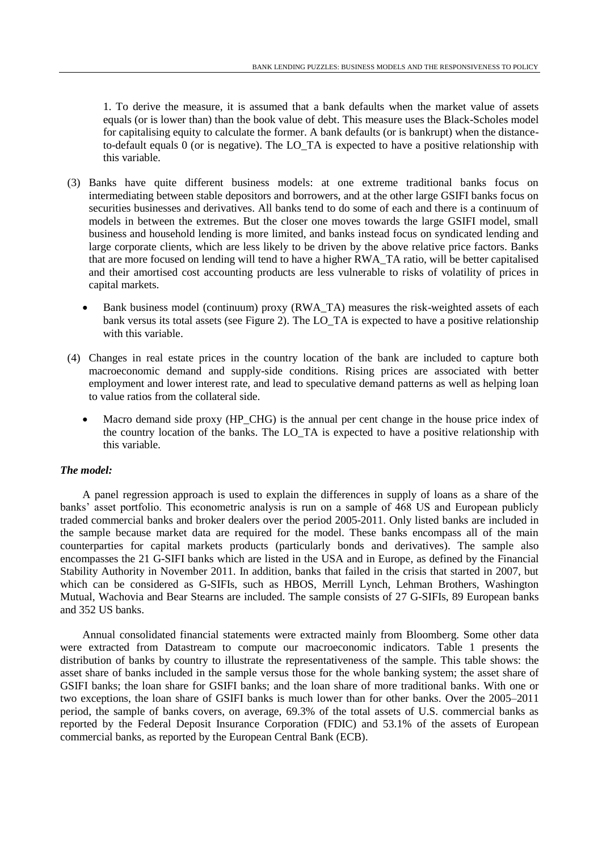1. To derive the measure, it is assumed that a bank defaults when the market value of assets equals (or is lower than) than the book value of debt. This measure uses the Black-Scholes model for capitalising equity to calculate the former. A bank defaults (or is bankrupt) when the distanceto-default equals 0 (or is negative). The LO\_TA is expected to have a positive relationship with this variable.

- (3) Banks have quite different business models: at one extreme traditional banks focus on intermediating between stable depositors and borrowers, and at the other large GSIFI banks focus on securities businesses and derivatives. All banks tend to do some of each and there is a continuum of models in between the extremes. But the closer one moves towards the large GSIFI model, small business and household lending is more limited, and banks instead focus on syndicated lending and large corporate clients, which are less likely to be driven by the above relative price factors. Banks that are more focused on lending will tend to have a higher RWA\_TA ratio, will be better capitalised and their amortised cost accounting products are less vulnerable to risks of volatility of prices in capital markets.
	- Bank business model (continuum) proxy (RWA\_TA) measures the risk-weighted assets of each bank versus its total assets (see Figure 2). The LO\_TA is expected to have a positive relationship with this variable.
- (4) Changes in real estate prices in the country location of the bank are included to capture both macroeconomic demand and supply-side conditions. Rising prices are associated with better employment and lower interest rate, and lead to speculative demand patterns as well as helping loan to value ratios from the collateral side.
	- Macro demand side proxy (HP\_CHG) is the annual per cent change in the house price index of the country location of the banks. The LO\_TA is expected to have a positive relationship with this variable.

## *The model:*

A panel regression approach is used to explain the differences in supply of loans as a share of the banks' asset portfolio. This econometric analysis is run on a sample of 468 US and European publicly traded commercial banks and broker dealers over the period 2005-2011. Only listed banks are included in the sample because market data are required for the model. These banks encompass all of the main counterparties for capital markets products (particularly bonds and derivatives). The sample also encompasses the 21 G-SIFI banks which are listed in the USA and in Europe, as defined by the Financial Stability Authority in November 2011. In addition, banks that failed in the crisis that started in 2007, but which can be considered as G-SIFIs, such as HBOS, Merrill Lynch, Lehman Brothers, Washington Mutual, Wachovia and Bear Stearns are included. The sample consists of 27 G-SIFIs, 89 European banks and 352 US banks.

Annual consolidated financial statements were extracted mainly from Bloomberg. Some other data were extracted from Datastream to compute our macroeconomic indicators. Table 1 presents the distribution of banks by country to illustrate the representativeness of the sample. This table shows: the asset share of banks included in the sample versus those for the whole banking system; the asset share of GSIFI banks; the loan share for GSIFI banks; and the loan share of more traditional banks. With one or two exceptions, the loan share of GSIFI banks is much lower than for other banks. Over the 2005–2011 period, the sample of banks covers, on average, 69.3% of the total assets of U.S. commercial banks as reported by the Federal Deposit Insurance Corporation (FDIC) and 53.1% of the assets of European commercial banks, as reported by the European Central Bank (ECB).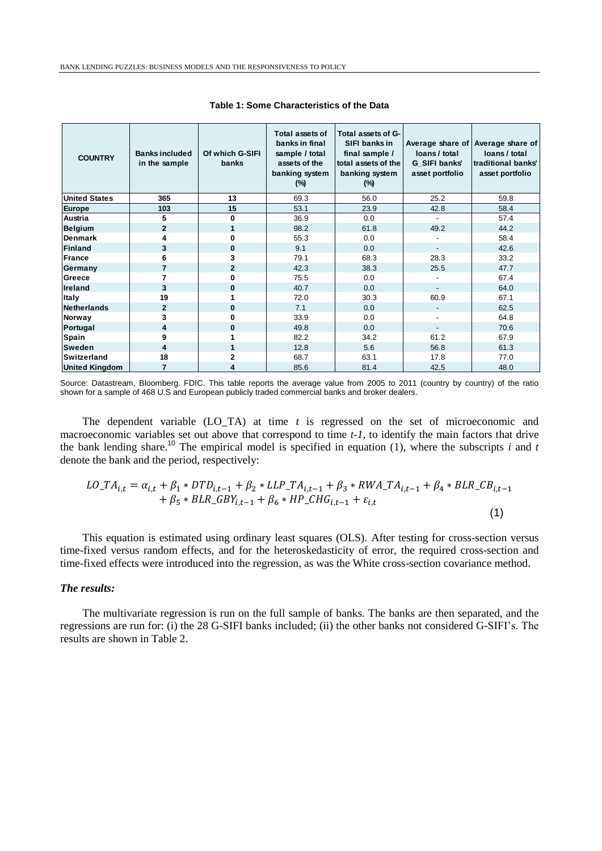| <b>COUNTRY</b>        | <b>Banks included</b><br>in the sample | Of which G-SIFI<br>banks | Total assets of<br>banks in final<br>sample / total<br>assets of the<br>banking system<br>$(\%)$ | Total assets of G-<br>SIFI banks in<br>final sample /<br>total assets of the<br>banking system<br>$(\%)$ | loans / total<br>G SIFI banks'<br>asset portfolio | Average share of Average share of<br>loans / total<br>traditional banks'<br>asset portfolio |
|-----------------------|----------------------------------------|--------------------------|--------------------------------------------------------------------------------------------------|----------------------------------------------------------------------------------------------------------|---------------------------------------------------|---------------------------------------------------------------------------------------------|
| <b>United States</b>  | 365                                    | 13                       | 69.3                                                                                             | 56.0                                                                                                     | 25.2                                              | 59.8                                                                                        |
| <b>Europe</b>         | 103                                    | 15                       | 53.1                                                                                             | 23.9                                                                                                     | 42.8                                              | 58.4                                                                                        |
| Austria               | 5                                      | $\bf{0}$                 | 36.9                                                                                             | 0.0                                                                                                      |                                                   | 57.4                                                                                        |
| <b>Belgium</b>        | $\overline{2}$                         | 1                        | 98.2                                                                                             | 61.8                                                                                                     | 49.2                                              | 44.2                                                                                        |
| <b>Denmark</b>        | 4                                      | $\bf{0}$                 | 55.3                                                                                             | 0.0                                                                                                      |                                                   | 58.4                                                                                        |
| <b>Finland</b>        | 3                                      | $\bf{0}$                 | 9.1                                                                                              | 0.0                                                                                                      |                                                   | 42.6                                                                                        |
| <b>France</b>         | 6                                      | 3                        | 79.1                                                                                             | 68.3                                                                                                     | 28.3                                              | 33.2                                                                                        |
| Germany               | 7                                      | $\mathbf{2}$             | 42.3                                                                                             | 38.3                                                                                                     | 25.5                                              | 47.7                                                                                        |
| Greece                | 7                                      | $\bf{0}$                 | 75.5                                                                                             | 0.0                                                                                                      |                                                   | 67.4                                                                                        |
| <b>Ireland</b>        | 3                                      | $\bf{0}$                 | 40.7                                                                                             | 0.0                                                                                                      |                                                   | 64.0                                                                                        |
| <b>Italy</b>          | 19                                     |                          | 72.0                                                                                             | 30.3                                                                                                     | 60.9                                              | 67.1                                                                                        |
| <b>Netherlands</b>    | $\overline{2}$                         | $\bf{0}$                 | 7.1                                                                                              | 0.0                                                                                                      |                                                   | 62.5                                                                                        |
| Norway                | 3                                      | $\bf{0}$                 | 33.9                                                                                             | 0.0                                                                                                      |                                                   | 64.8                                                                                        |
| Portugal              | 4                                      | $\bf{0}$                 | 49.8                                                                                             | 0.0                                                                                                      | $\blacksquare$                                    | 70.6                                                                                        |
| Spain                 | 9                                      |                          | 82.2                                                                                             | 34.2                                                                                                     | 61.2                                              | 67.9                                                                                        |
| <b>Sweden</b>         | 4                                      |                          | 12.8                                                                                             | 5.6                                                                                                      | 56.8                                              |                                                                                             |
| <b>Switzerland</b>    | 18                                     |                          | 68.7                                                                                             | 63.1                                                                                                     | 17.8                                              | 77.0                                                                                        |
| <b>United Kingdom</b> | 7                                      | 4                        | 85.6                                                                                             | 81.4                                                                                                     | 42.5                                              | 48.0                                                                                        |

**Table 1: Some Characteristics of the Data**

Source: Datastream, Bloomberg. FDIC. This table reports the average value from 2005 to 2011 (country by country) of the ratio shown for a sample of 468 U.S and European publicly traded commercial banks and broker dealers.

The dependent variable (LO\_TA) at time *t* is regressed on the set of microeconomic and macroeconomic variables set out above that correspond to time *t-1,* to identify the main factors that drive the bank lending share. <sup>10</sup> The empirical model is specified in equation (1), where the subscripts *i* and *t* denote the bank and the period, respectively:

$$
LO\_TA_{i,t} = \alpha_{i,t} + \beta_1 * DTD_{i,t-1} + \beta_2 * LLP\_TA_{i,t-1} + \beta_3 * RWA\_TA_{i,t-1} + \beta_4 * BLR\_CB_{i,t-1} + \beta_5 * BLR\_GBY_{i,t-1} + \beta_6 * HP\_CHG_{i,t-1} + \varepsilon_{i,t}
$$
\n(1)

This equation is estimated using ordinary least squares (OLS). After testing for cross-section versus time-fixed versus random effects, and for the heteroskedasticity of error, the required cross-section and time-fixed effects were introduced into the regression, as was the White cross-section covariance method.

#### *The results:*

The multivariate regression is run on the full sample of banks. The banks are then separated, and the regressions are run for: (i) the 28 G-SIFI banks included; (ii) the other banks not considered G-SIFI's. The results are shown in Table 2.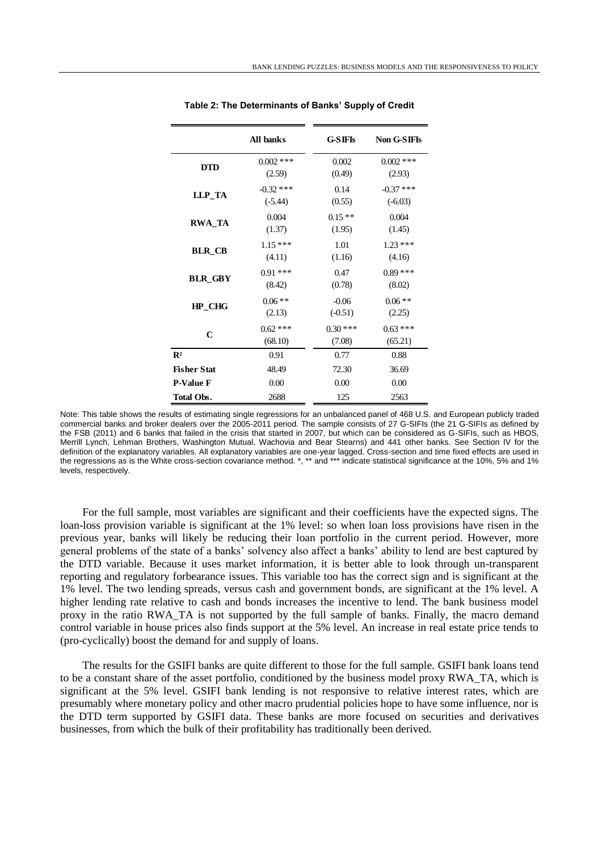|                    | All banks                | <b>G-SIFIs</b>       | Non G-SIFIs                            |  |  |
|--------------------|--------------------------|----------------------|----------------------------------------|--|--|
| <b>DTD</b>         | $0.002$ ***<br>(2.59)    | 0.002<br>(0.49)      | $0.002$ ***<br>(2.93)                  |  |  |
| LLP_TA             | $-0.32$ ***<br>$(-5.44)$ | 0.14<br>(0.55)       | $-0.37$ ***<br>$(-6.03)$               |  |  |
| <b>RWA_TA</b>      | 0.004<br>(1.37)          | $0.15**$<br>(1.95)   | 0.004<br>(1.45)<br>$1.23***$<br>(4.16) |  |  |
| <b>BLR_CB</b>      | $1.15***$<br>(4.11)      | 1.01<br>(1.16)       |                                        |  |  |
| <b>BLR GBY</b>     | $0.91***$<br>(8.42)      | 0.47<br>(0.78)       | $0.89***$<br>(8.02)                    |  |  |
| HP CHG             | $0.06**$<br>(2.13)       | $-0.06$<br>$(-0.51)$ | $0.06**$<br>(2.25)                     |  |  |
| $\mathbf C$        | $0.62$ ***<br>(68.10)    | $0.30***$<br>(7.08)  | $0.63***$<br>(65.21)                   |  |  |
| $\mathbb{R}^2$     | 0.91                     | 0.77                 | 0.88                                   |  |  |
| <b>Fisher Stat</b> | 48.49                    | 72.30                | 36.69                                  |  |  |
| <b>P-Value F</b>   | 0.00                     | 0.00                 | 0.00                                   |  |  |
| Total Obs.         | 2688                     | 125                  | 2563                                   |  |  |

**Table 2: The Determinants of Banks' Supply of Credit**

For the full sample, most variables are significant and their coefficients have the expected signs. The loan-loss provision variable is significant at the 1% level: so when loan loss provisions have risen in the previous year, banks will likely be reducing their loan portfolio in the current period. However, more general problems of the state of a banks' solvency also affect a banks' ability to lend are best captured by the DTD variable. Because it uses market information, it is better able to look through un-transparent reporting and regulatory forbearance issues. This variable too has the correct sign and is significant at the 1% level. The two lending spreads, versus cash and government bonds, are significant at the 1% level. A higher lending rate relative to cash and bonds increases the incentive to lend. The bank business model proxy in the ratio RWA\_TA is not supported by the full sample of banks. Finally, the macro demand control variable in house prices also finds support at the 5% level. An increase in real estate price tends to (pro-cyclically) boost the demand for and supply of loans.

The results for the GSIFI banks are quite different to those for the full sample. GSIFI bank loans tend to be a constant share of the asset portfolio, conditioned by the business model proxy RWA\_TA, which is significant at the 5% level. GSIFI bank lending is not responsive to relative interest rates, which are presumably where monetary policy and other macro prudential policies hope to have some influence, nor is the DTD term supported by GSIFI data. These banks are more focused on securities and derivatives businesses, from which the bulk of their profitability has traditionally been derived.

Note: This table shows the results of estimating single regressions for an unbalanced panel of 468 U.S. and European publicly traded commercial banks and broker dealers over the 2005-2011 period. The sample consists of 27 G-SIFIs (the 21 G-SIFIs as defined by the FSB (2011) and 6 banks that failed in the crisis that started in 2007, but which can be considered as G-SIFIs, such as HBOS, Merrill Lynch, Lehman Brothers, Washington Mutual, Wachovia and Bear Stearns) and 441 other banks. See Section IV for the definition of the explanatory variables. All explanatory variables are one-year lagged. Cross-section and time fixed effects are used in the regressions as is the White cross-section covariance method. \*, \*\* and \*\*\* indicate statistical significance at the 10%, 5% and 1% levels, respectively.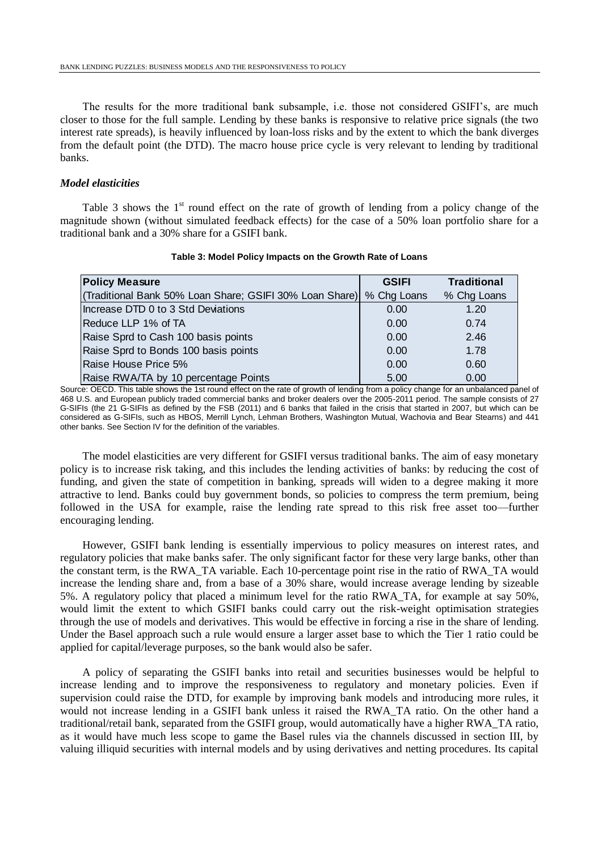The results for the more traditional bank subsample, i.e. those not considered GSIFI's, are much closer to those for the full sample. Lending by these banks is responsive to relative price signals (the two interest rate spreads), is heavily influenced by loan-loss risks and by the extent to which the bank diverges from the default point (the DTD). The macro house price cycle is very relevant to lending by traditional banks.

# *Model elasticities*

Table 3 shows the  $1<sup>st</sup>$  round effect on the rate of growth of lending from a policy change of the magnitude shown (without simulated feedback effects) for the case of a 50% loan portfolio share for a traditional bank and a 30% share for a GSIFI bank.

| <b>Policy Measure</b>                                   | <b>GSIFI</b> | <b>Traditional</b> |
|---------------------------------------------------------|--------------|--------------------|
| (Traditional Bank 50% Loan Share; GSIFI 30% Loan Share) | % Chg Loans  | % Chg Loans        |
| Increase DTD 0 to 3 Std Deviations                      | 0.00         | 1.20               |
| Reduce LLP 1% of TA                                     | 0.00         | 0.74               |
| Raise Sprd to Cash 100 basis points                     | 0.00         | 2.46               |
| Raise Sprd to Bonds 100 basis points                    | 0.00         | 1.78               |
| Raise House Price 5%                                    | 0.00         | 0.60               |
| Raise RWA/TA by 10 percentage Points                    | 5.00         | 0.00               |

#### **Table 3: Model Policy Impacts on the Growth Rate of Loans**

Source: OECD. This table shows the 1st round effect on the rate of growth of lending from a policy change for an unbalanced panel of 468 U.S. and European publicly traded commercial banks and broker dealers over the 2005-2011 period. The sample consists of 27 G-SIFIs (the 21 G-SIFIs as defined by the FSB (2011) and 6 banks that failed in the crisis that started in 2007, but which can be considered as G-SIFIs, such as HBOS, Merrill Lynch, Lehman Brothers, Washington Mutual, Wachovia and Bear Stearns) and 441 other banks. See Section IV for the definition of the variables.

The model elasticities are very different for GSIFI versus traditional banks. The aim of easy monetary policy is to increase risk taking, and this includes the lending activities of banks: by reducing the cost of funding, and given the state of competition in banking, spreads will widen to a degree making it more attractive to lend. Banks could buy government bonds, so policies to compress the term premium, being followed in the USA for example, raise the lending rate spread to this risk free asset too—further encouraging lending.

However, GSIFI bank lending is essentially impervious to policy measures on interest rates, and regulatory policies that make banks safer. The only significant factor for these very large banks, other than the constant term, is the RWA\_TA variable. Each 10-percentage point rise in the ratio of RWA\_TA would increase the lending share and, from a base of a 30% share, would increase average lending by sizeable 5%. A regulatory policy that placed a minimum level for the ratio RWA\_TA, for example at say 50%, would limit the extent to which GSIFI banks could carry out the risk-weight optimisation strategies through the use of models and derivatives. This would be effective in forcing a rise in the share of lending. Under the Basel approach such a rule would ensure a larger asset base to which the Tier 1 ratio could be applied for capital/leverage purposes, so the bank would also be safer.

A policy of separating the GSIFI banks into retail and securities businesses would be helpful to increase lending and to improve the responsiveness to regulatory and monetary policies. Even if supervision could raise the DTD, for example by improving bank models and introducing more rules, it would not increase lending in a GSIFI bank unless it raised the RWA\_TA ratio. On the other hand a traditional/retail bank, separated from the GSIFI group, would automatically have a higher RWA\_TA ratio, as it would have much less scope to game the Basel rules via the channels discussed in section III, by valuing illiquid securities with internal models and by using derivatives and netting procedures. Its capital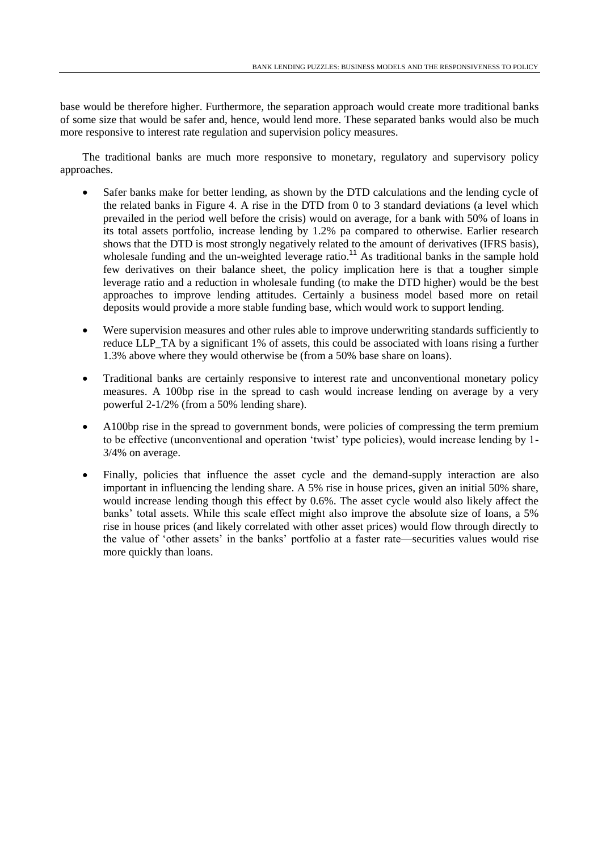base would be therefore higher. Furthermore, the separation approach would create more traditional banks of some size that would be safer and, hence, would lend more. These separated banks would also be much more responsive to interest rate regulation and supervision policy measures.

The traditional banks are much more responsive to monetary, regulatory and supervisory policy approaches.

- Safer banks make for better lending, as shown by the DTD calculations and the lending cycle of the related banks in Figure 4. A rise in the DTD from 0 to 3 standard deviations (a level which prevailed in the period well before the crisis) would on average, for a bank with 50% of loans in its total assets portfolio, increase lending by 1.2% pa compared to otherwise. Earlier research shows that the DTD is most strongly negatively related to the amount of derivatives (IFRS basis), wholesale funding and the un-weighted leverage ratio.<sup>11</sup> As traditional banks in the sample hold few derivatives on their balance sheet, the policy implication here is that a tougher simple leverage ratio and a reduction in wholesale funding (to make the DTD higher) would be the best approaches to improve lending attitudes. Certainly a business model based more on retail deposits would provide a more stable funding base, which would work to support lending.
- Were supervision measures and other rules able to improve underwriting standards sufficiently to reduce LLP TA by a significant 1% of assets, this could be associated with loans rising a further 1.3% above where they would otherwise be (from a 50% base share on loans).
- Traditional banks are certainly responsive to interest rate and unconventional monetary policy measures. A 100bp rise in the spread to cash would increase lending on average by a very powerful 2-1/2% (from a 50% lending share).
- A100bp rise in the spread to government bonds, were policies of compressing the term premium to be effective (unconventional and operation 'twist' type policies), would increase lending by 1- 3/4% on average.
- Finally, policies that influence the asset cycle and the demand-supply interaction are also important in influencing the lending share. A 5% rise in house prices, given an initial 50% share, would increase lending though this effect by 0.6%. The asset cycle would also likely affect the banks' total assets. While this scale effect might also improve the absolute size of loans, a 5% rise in house prices (and likely correlated with other asset prices) would flow through directly to the value of 'other assets' in the banks' portfolio at a faster rate—securities values would rise more quickly than loans.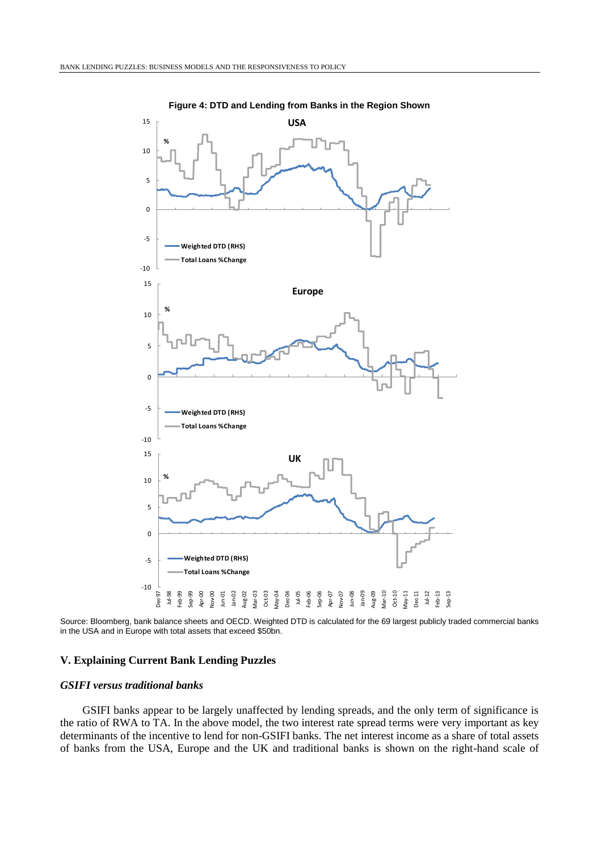

**Figure 4: DTD and Lending from Banks in the Region Shown**

Source: Bloomberg, bank balance sheets and OECD. Weighted DTD is calculated for the 69 largest publicly traded commercial banks in the USA and in Europe with total assets that exceed \$50bn.

# **V. Explaining Current Bank Lending Puzzles**

#### *GSIFI versus traditional banks*

GSIFI banks appear to be largely unaffected by lending spreads, and the only term of significance is the ratio of RWA to TA. In the above model, the two interest rate spread terms were very important as key determinants of the incentive to lend for non-GSIFI banks. The net interest income as a share of total assets of banks from the USA, Europe and the UK and traditional banks is shown on the right-hand scale of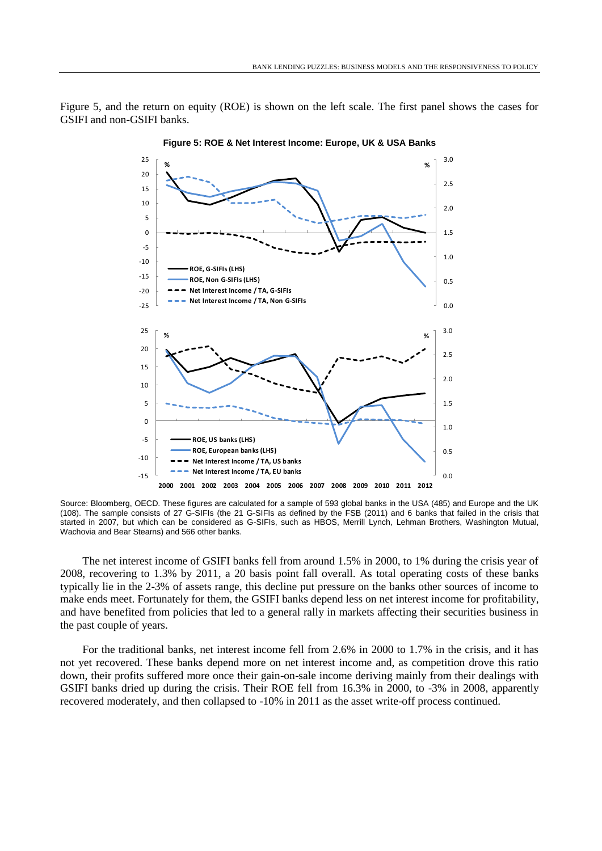Figure 5, and the return on equity (ROE) is shown on the left scale. The first panel shows the cases for GSIFI and non-GSIFI banks.



**Figure 5: ROE & Net Interest Income: Europe, UK & USA Banks**

Source: Bloomberg, OECD. These figures are calculated for a sample of 593 global banks in the USA (485) and Europe and the UK (108). The sample consists of 27 G-SIFIs (the 21 G-SIFIs as defined by the FSB (2011) and 6 banks that failed in the crisis that started in 2007, but which can be considered as G-SIFIs, such as HBOS, Merrill Lynch, Lehman Brothers, Washington Mutual, Wachovia and Bear Stearns) and 566 other banks.

The net interest income of GSIFI banks fell from around 1.5% in 2000, to 1% during the crisis year of 2008, recovering to 1.3% by 2011, a 20 basis point fall overall. As total operating costs of these banks typically lie in the 2-3% of assets range, this decline put pressure on the banks other sources of income to make ends meet. Fortunately for them, the GSIFI banks depend less on net interest income for profitability, and have benefited from policies that led to a general rally in markets affecting their securities business in the past couple of years.

For the traditional banks, net interest income fell from 2.6% in 2000 to 1.7% in the crisis, and it has not yet recovered. These banks depend more on net interest income and, as competition drove this ratio down, their profits suffered more once their gain-on-sale income deriving mainly from their dealings with GSIFI banks dried up during the crisis. Their ROE fell from 16.3% in 2000, to -3% in 2008, apparently recovered moderately, and then collapsed to -10% in 2011 as the asset write-off process continued.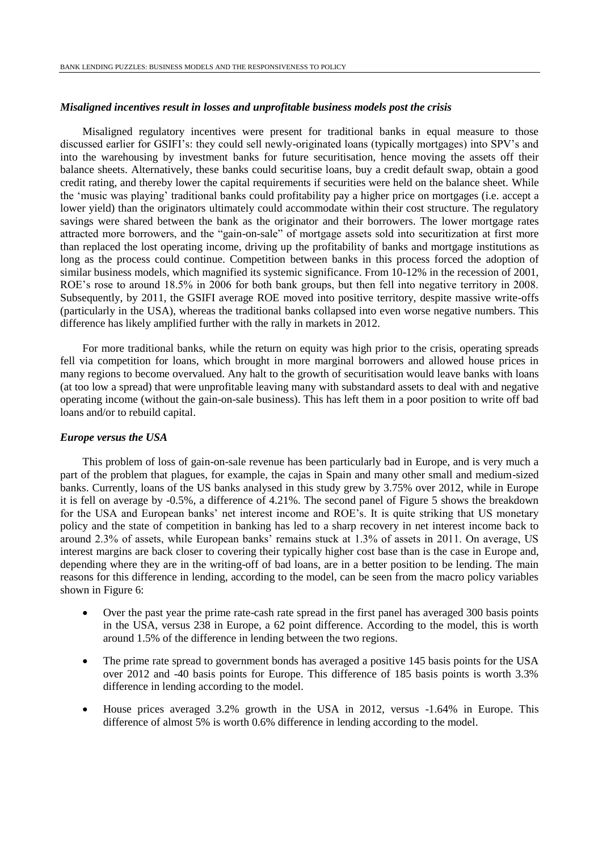#### *Misaligned incentives result in losses and unprofitable business models post the crisis*

Misaligned regulatory incentives were present for traditional banks in equal measure to those discussed earlier for GSIFI's: they could sell newly-originated loans (typically mortgages) into SPV's and into the warehousing by investment banks for future securitisation, hence moving the assets off their balance sheets. Alternatively, these banks could securitise loans, buy a credit default swap, obtain a good credit rating, and thereby lower the capital requirements if securities were held on the balance sheet. While the 'music was playing' traditional banks could profitability pay a higher price on mortgages (i.e. accept a lower yield) than the originators ultimately could accommodate within their cost structure. The regulatory savings were shared between the bank as the originator and their borrowers. The lower mortgage rates attracted more borrowers, and the "gain-on-sale" of mortgage assets sold into securitization at first more than replaced the lost operating income, driving up the profitability of banks and mortgage institutions as long as the process could continue. Competition between banks in this process forced the adoption of similar business models, which magnified its systemic significance. From 10-12% in the recession of 2001, ROE's rose to around 18.5% in 2006 for both bank groups, but then fell into negative territory in 2008. Subsequently, by 2011, the GSIFI average ROE moved into positive territory, despite massive write-offs (particularly in the USA), whereas the traditional banks collapsed into even worse negative numbers. This difference has likely amplified further with the rally in markets in 2012.

For more traditional banks, while the return on equity was high prior to the crisis, operating spreads fell via competition for loans, which brought in more marginal borrowers and allowed house prices in many regions to become overvalued. Any halt to the growth of securitisation would leave banks with loans (at too low a spread) that were unprofitable leaving many with substandard assets to deal with and negative operating income (without the gain-on-sale business). This has left them in a poor position to write off bad loans and/or to rebuild capital.

## *Europe versus the USA*

This problem of loss of gain-on-sale revenue has been particularly bad in Europe, and is very much a part of the problem that plagues, for example, the cajas in Spain and many other small and medium-sized banks. Currently, loans of the US banks analysed in this study grew by 3.75% over 2012, while in Europe it is fell on average by -0.5%, a difference of 4.21%. The second panel of Figure 5 shows the breakdown for the USA and European banks' net interest income and ROE's. It is quite striking that US monetary policy and the state of competition in banking has led to a sharp recovery in net interest income back to around 2.3% of assets, while European banks' remains stuck at 1.3% of assets in 2011. On average, US interest margins are back closer to covering their typically higher cost base than is the case in Europe and, depending where they are in the writing-off of bad loans, are in a better position to be lending. The main reasons for this difference in lending, according to the model, can be seen from the macro policy variables shown in Figure 6:

- Over the past year the prime rate-cash rate spread in the first panel has averaged 300 basis points in the USA, versus 238 in Europe, a 62 point difference. According to the model, this is worth around 1.5% of the difference in lending between the two regions.
- The prime rate spread to government bonds has averaged a positive 145 basis points for the USA over 2012 and -40 basis points for Europe. This difference of 185 basis points is worth 3.3% difference in lending according to the model.
- House prices averaged 3.2% growth in the USA in 2012, versus -1.64% in Europe. This difference of almost 5% is worth 0.6% difference in lending according to the model.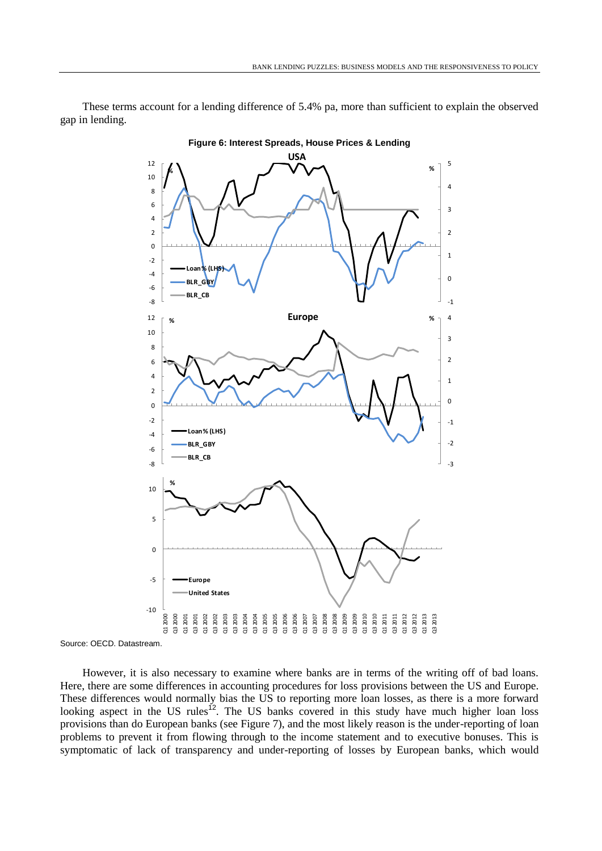These terms account for a lending difference of 5.4% pa, more than sufficient to explain the observed gap in lending.



Source: OECD. Datastream.

However, it is also necessary to examine where banks are in terms of the writing off of bad loans. Here, there are some differences in accounting procedures for loss provisions between the US and Europe. These differences would normally bias the US to reporting more loan losses, as there is a more forward looking aspect in the US rules<sup>12</sup>. The US banks covered in this study have much higher loan loss provisions than do European banks (see Figure 7), and the most likely reason is the under-reporting of loan problems to prevent it from flowing through to the income statement and to executive bonuses. This is symptomatic of lack of transparency and under-reporting of losses by European banks, which would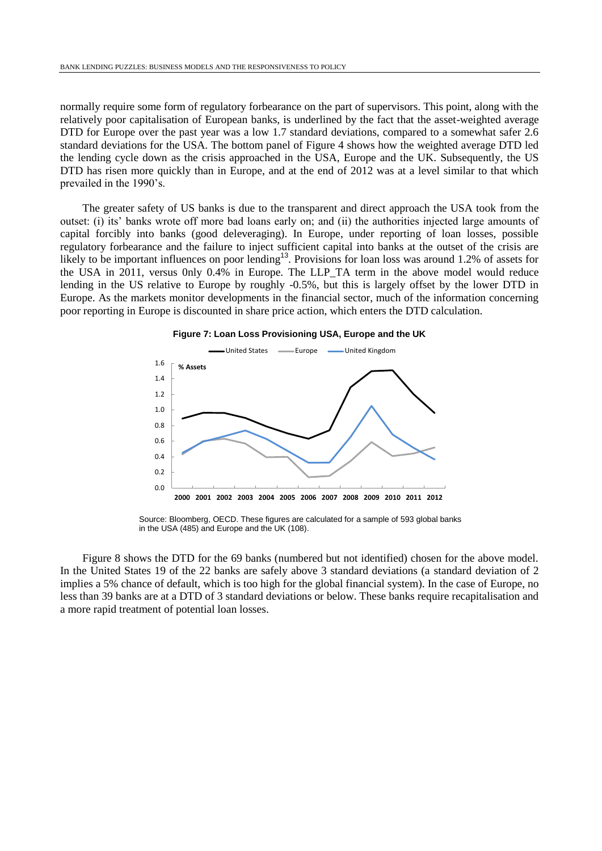normally require some form of regulatory forbearance on the part of supervisors. This point, along with the relatively poor capitalisation of European banks, is underlined by the fact that the asset-weighted average DTD for Europe over the past year was a low 1.7 standard deviations, compared to a somewhat safer 2.6 standard deviations for the USA. The bottom panel of Figure 4 shows how the weighted average DTD led the lending cycle down as the crisis approached in the USA, Europe and the UK. Subsequently, the US DTD has risen more quickly than in Europe, and at the end of 2012 was at a level similar to that which prevailed in the 1990's.

The greater safety of US banks is due to the transparent and direct approach the USA took from the outset: (i) its' banks wrote off more bad loans early on; and (ii) the authorities injected large amounts of capital forcibly into banks (good deleveraging). In Europe, under reporting of loan losses, possible regulatory forbearance and the failure to inject sufficient capital into banks at the outset of the crisis are likely to be important influences on poor lending<sup>13</sup>. Provisions for loan loss was around 1.2% of assets for the USA in 2011, versus 0nly 0.4% in Europe. The LLP\_TA term in the above model would reduce lending in the US relative to Europe by roughly -0.5%, but this is largely offset by the lower DTD in Europe. As the markets monitor developments in the financial sector, much of the information concerning poor reporting in Europe is discounted in share price action, which enters the DTD calculation.





Source: Bloomberg, OECD. These figures are calculated for a sample of 593 global banks in the USA (485) and Europe and the UK (108).

Figure 8 shows the DTD for the 69 banks (numbered but not identified) chosen for the above model. In the United States 19 of the 22 banks are safely above 3 standard deviations (a standard deviation of 2 implies a 5% chance of default, which is too high for the global financial system). In the case of Europe, no less than 39 banks are at a DTD of 3 standard deviations or below. These banks require recapitalisation and a more rapid treatment of potential loan losses.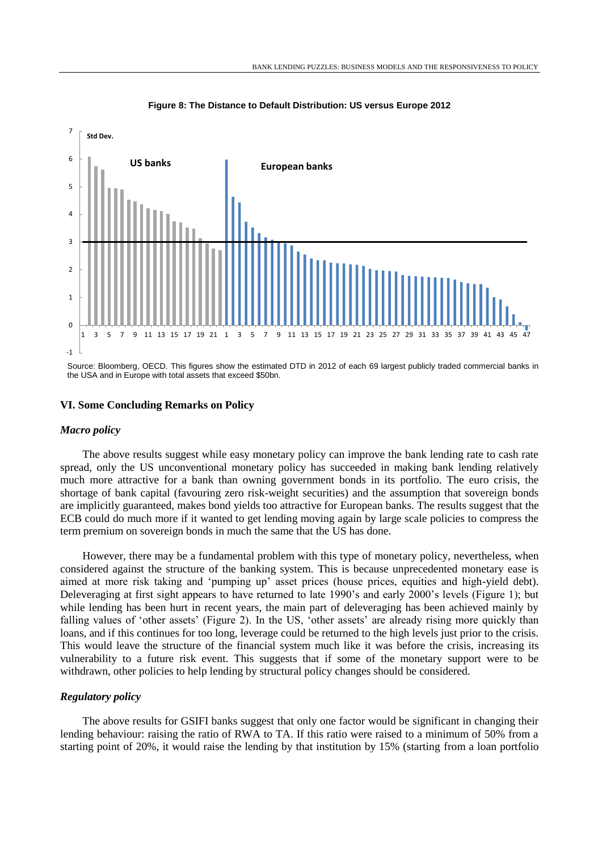

**Figure 8: The Distance to Default Distribution: US versus Europe 2012**

Source: Bloomberg, OECD. This figures show the estimated DTD in 2012 of each 69 largest publicly traded commercial banks in the USA and in Europe with total assets that exceed \$50bn.

### **VI. Some Concluding Remarks on Policy**

#### *Macro policy*

The above results suggest while easy monetary policy can improve the bank lending rate to cash rate spread, only the US unconventional monetary policy has succeeded in making bank lending relatively much more attractive for a bank than owning government bonds in its portfolio. The euro crisis, the shortage of bank capital (favouring zero risk-weight securities) and the assumption that sovereign bonds are implicitly guaranteed, makes bond yields too attractive for European banks. The results suggest that the ECB could do much more if it wanted to get lending moving again by large scale policies to compress the term premium on sovereign bonds in much the same that the US has done.

However, there may be a fundamental problem with this type of monetary policy, nevertheless, when considered against the structure of the banking system. This is because unprecedented monetary ease is aimed at more risk taking and 'pumping up' asset prices (house prices, equities and high-yield debt). Deleveraging at first sight appears to have returned to late 1990's and early 2000's levels (Figure 1); but while lending has been hurt in recent years, the main part of deleveraging has been achieved mainly by falling values of 'other assets' (Figure 2). In the US, 'other assets' are already rising more quickly than loans, and if this continues for too long, leverage could be returned to the high levels just prior to the crisis. This would leave the structure of the financial system much like it was before the crisis, increasing its vulnerability to a future risk event. This suggests that if some of the monetary support were to be withdrawn, other policies to help lending by structural policy changes should be considered.

#### *Regulatory policy*

The above results for GSIFI banks suggest that only one factor would be significant in changing their lending behaviour: raising the ratio of RWA to TA. If this ratio were raised to a minimum of 50% from a starting point of 20%, it would raise the lending by that institution by 15% (starting from a loan portfolio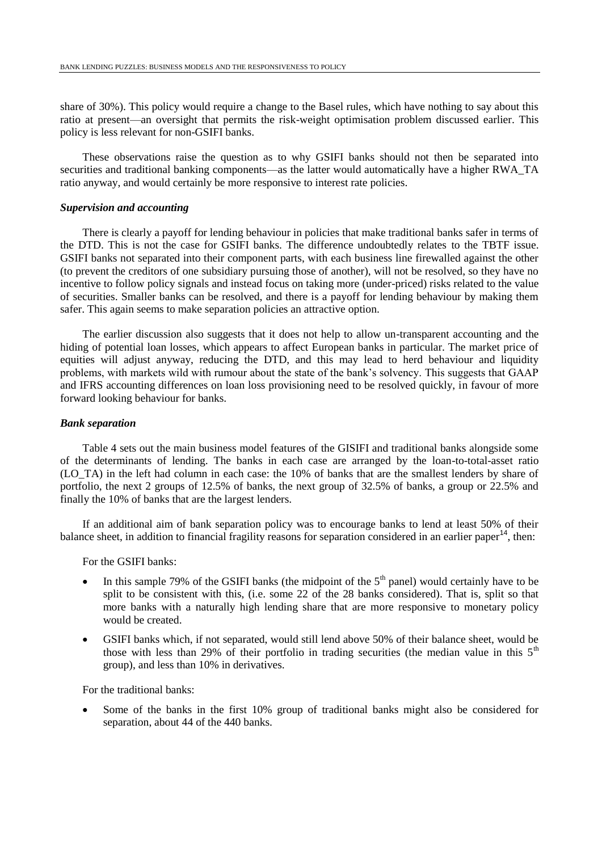share of 30%). This policy would require a change to the Basel rules, which have nothing to say about this ratio at present—an oversight that permits the risk-weight optimisation problem discussed earlier. This policy is less relevant for non-GSIFI banks.

These observations raise the question as to why GSIFI banks should not then be separated into securities and traditional banking components—as the latter would automatically have a higher RWA\_TA ratio anyway, and would certainly be more responsive to interest rate policies.

### *Supervision and accounting*

There is clearly a payoff for lending behaviour in policies that make traditional banks safer in terms of the DTD. This is not the case for GSIFI banks. The difference undoubtedly relates to the TBTF issue. GSIFI banks not separated into their component parts, with each business line firewalled against the other (to prevent the creditors of one subsidiary pursuing those of another), will not be resolved, so they have no incentive to follow policy signals and instead focus on taking more (under-priced) risks related to the value of securities. Smaller banks can be resolved, and there is a payoff for lending behaviour by making them safer. This again seems to make separation policies an attractive option.

The earlier discussion also suggests that it does not help to allow un-transparent accounting and the hiding of potential loan losses, which appears to affect European banks in particular. The market price of equities will adjust anyway, reducing the DTD, and this may lead to herd behaviour and liquidity problems, with markets wild with rumour about the state of the bank's solvency. This suggests that GAAP and IFRS accounting differences on loan loss provisioning need to be resolved quickly, in favour of more forward looking behaviour for banks.

#### *Bank separation*

Table 4 sets out the main business model features of the GISIFI and traditional banks alongside some of the determinants of lending. The banks in each case are arranged by the loan-to-total-asset ratio (LO\_TA) in the left had column in each case: the 10% of banks that are the smallest lenders by share of portfolio, the next 2 groups of 12.5% of banks, the next group of 32.5% of banks, a group or 22.5% and finally the 10% of banks that are the largest lenders.

If an additional aim of bank separation policy was to encourage banks to lend at least 50% of their balance sheet, in addition to financial fragility reasons for separation considered in an earlier paper<sup>14</sup>, then:

For the GSIFI banks:

- In this sample 79% of the GSIFI banks (the midpoint of the  $5<sup>th</sup>$  panel) would certainly have to be split to be consistent with this, (i.e. some 22 of the 28 banks considered). That is, split so that more banks with a naturally high lending share that are more responsive to monetary policy would be created.
- GSIFI banks which, if not separated, would still lend above 50% of their balance sheet, would be those with less than 29% of their portfolio in trading securities (the median value in this  $5<sup>th</sup>$ group), and less than 10% in derivatives.

For the traditional banks:

 Some of the banks in the first 10% group of traditional banks might also be considered for separation, about 44 of the 440 banks.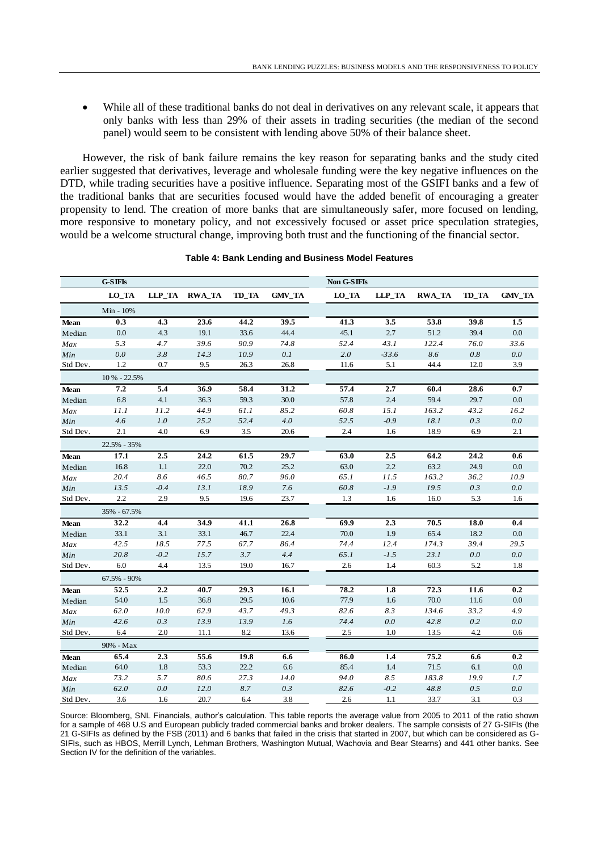While all of these traditional banks do not deal in derivatives on any relevant scale, it appears that only banks with less than 29% of their assets in trading securities (the median of the second panel) would seem to be consistent with lending above 50% of their balance sheet.

However, the risk of bank failure remains the key reason for separating banks and the study cited earlier suggested that derivatives, leverage and wholesale funding were the key negative influences on the DTD, while trading securities have a positive influence. Separating most of the GSIFI banks and a few of the traditional banks that are securities focused would have the added benefit of encouraging a greater propensity to lend. The creation of more banks that are simultaneously safer, more focused on lending, more responsive to monetary policy, and not excessively focused or asset price speculation strategies, would be a welcome structural change, improving both trust and the functioning of the financial sector.

|             | $G-SIFIs$    |        |               |       |               | Non G-SIFIs |         |               |       |         |
|-------------|--------------|--------|---------------|-------|---------------|-------------|---------|---------------|-------|---------|
|             | LO_TA        |        | LLP_TA RWA_TA | TD_TA | <b>GMV_TA</b> | LO_TA       | LLP_TA  | <b>RWA_TA</b> | TD_TA | GMV_TA  |
|             | Min - 10%    |        |               |       |               |             |         |               |       |         |
| <b>Mean</b> | 0.3          | 4.3    | 23.6          | 44.2  | 39.5          | 41.3        | 3.5     | 53.8          | 39.8  | 1.5     |
| Median      | 0.0          | 4.3    | 19.1          | 33.6  | 44.4          | 45.1        | 2.7     | 51.2          | 39.4  | 0.0     |
| Max         | 5.3          | 4.7    | 39.6          | 90.9  | 74.8          | 52.4        | 43.1    | 122.4         | 76.0  | 33.6    |
| Min         | 0.0          | 3.8    | 14.3          | 10.9  | 0.1           | 2.0         | $-33.6$ | 8.6           | 0.8   | 0.0     |
| Std Dev.    | 1.2          | 0.7    | 9.5           | 26.3  | 26.8          | 11.6        | 5.1     | 44.4          | 12.0  | 3.9     |
|             | 10 % - 22.5% |        |               |       |               |             |         |               |       |         |
| <b>Mean</b> | 7.2          | 5.4    | 36.9          | 58.4  | 31.2          | 57.4        | 2.7     | 60.4          | 28.6  | 0.7     |
| Median      | 6.8          | 4.1    | 36.3          | 59.3  | 30.0          | 57.8        | 2.4     | 59.4          | 29.7  | 0.0     |
| Max         | 11.1         | 11.2   | 44.9          | 61.1  | 85.2          | 60.8        | 15.1    | 163.2         | 43.2  | 16.2    |
| Min         | 4.6          | 1.0    | 25.2          | 52.4  | 4.0           | 52.5        | $-0.9$  | 18.1          | 0.3   | 0.0     |
| Std Dev.    | 2.1          | 4.0    | 6.9           | 3.5   | 20.6          | 2.4         | 1.6     | 18.9          | 6.9   | 2.1     |
|             | 22.5% - 35%  |        |               |       |               |             |         |               |       |         |
| <b>Mean</b> | 17.1         | 2.5    | 24.2          | 61.5  | 29.7          | 63.0        | 2.5     | 64.2          | 24.2  | 0.6     |
| Median      | 16.8         | 1.1    | 22.0          | 70.2  | 25.2          | 63.0        | 2.2     | 63.2          | 24.9  | 0.0     |
| Max         | 20.4         | 8.6    | 46.5          | 80.7  | 96.0          | 65.1        | 11.5    | 163.2         | 36.2  | 10.9    |
| Min         | 13.5         | $-0.4$ | 13.1          | 18.9  | 7.6           | 60.8        | $-1.9$  | 19.5          | 0.3   | 0.0     |
| Std Dev.    | 2.2          | 2.9    | 9.5           | 19.6  | 23.7          | 1.3         | 1.6     | 16.0          | 5.3   | 1.6     |
|             | 35% - 67.5%  |        |               |       |               |             |         |               |       |         |
| <b>Mean</b> | 32.2         | 4.4    | 34.9          | 41.1  | 26.8          | 69.9        | 2.3     | 70.5          | 18.0  | 0.4     |
| Median      | 33.1         | 3.1    | 33.1          | 46.7  | 22.4          | 70.0        | 1.9     | 65.4          | 18.2  | $0.0\,$ |
| Max         | 42.5         | 18.5   | 77.5          | 67.7  | 86.4          | 74.4        | 12.4    | 174.3         | 39.4  | 29.5    |
| Min         | 20.8         | $-0.2$ | 15.7          | 3.7   | 4.4           | 65.1        | $-1.5$  | 23.1          | 0.0   | 0.0     |
| Std Dev.    | 6.0          | 4.4    | 13.5          | 19.0  | 16.7          | 2.6         | 1.4     | 60.3          | 5.2   | 1.8     |
|             | 67.5% - 90%  |        |               |       |               |             |         |               |       |         |
| <b>Mean</b> | 52.5         | 2.2    | 40.7          | 29.3  | 16.1          | 78.2        | 1.8     | 72.3          | 11.6  | 0.2     |
| Median      | 54.0         | 1.5    | 36.8          | 29.5  | 10.6          | 77.9        | 1.6     | 70.0          | 11.6  | 0.0     |
| Max         | 62.0         | 10.0   | 62.9          | 43.7  | 49.3          | 82.6        | 8.3     | 134.6         | 33.2  | 4.9     |
| Min         | 42.6         | 0.3    | 13.9          | 13.9  | 1.6           | 74.4        | 0.0     | 42.8          | 0.2   | 0.0     |
| Std Dev.    | 6.4          | 2.0    | 11.1          | 8.2   | 13.6          | 2.5         | 1.0     | 13.5          | 4.2   | 0.6     |
|             | 90% - Max    |        |               |       |               |             |         |               |       |         |
| <b>Mean</b> | 65.4         | 2.3    | 55.6          | 19.8  | 6.6           | 86.0        | 1.4     | 75.2          | 6.6   | 0.2     |
| Median      | 64.0         | 1.8    | 53.3          | 22.2  | 6.6           | 85.4        | 1.4     | 71.5          | 6.1   | 0.0     |
| Max         | 73.2         | 5.7    | 80.6          | 27.3  | 14.0          | 94.0        | 8.5     | 183.8         | 19.9  | 1.7     |
| Min         | 62.0         | 0.0    | 12.0          | 8.7   | 0.3           | 82.6        | $-0.2$  | 48.8          | 0.5   | 0.0     |
| Std Dev.    | 3.6          | 1.6    | 20.7          | 6.4   | 3.8           | 2.6         | 1.1     | 33.7          | 3.1   | 0.3     |

#### **Table 4: Bank Lending and Business Model Features**

Source: Bloomberg, SNL Financials, author's calculation. This table reports the average value from 2005 to 2011 of the ratio shown for a sample of 468 U.S and European publicly traded commercial banks and broker dealers. The sample consists of 27 G-SIFIs (the 21 G-SIFIs as defined by the FSB (2011) and 6 banks that failed in the crisis that started in 2007, but which can be considered as G-SIFIs, such as HBOS, Merrill Lynch, Lehman Brothers, Washington Mutual, Wachovia and Bear Stearns) and 441 other banks. See Section IV for the definition of the variables.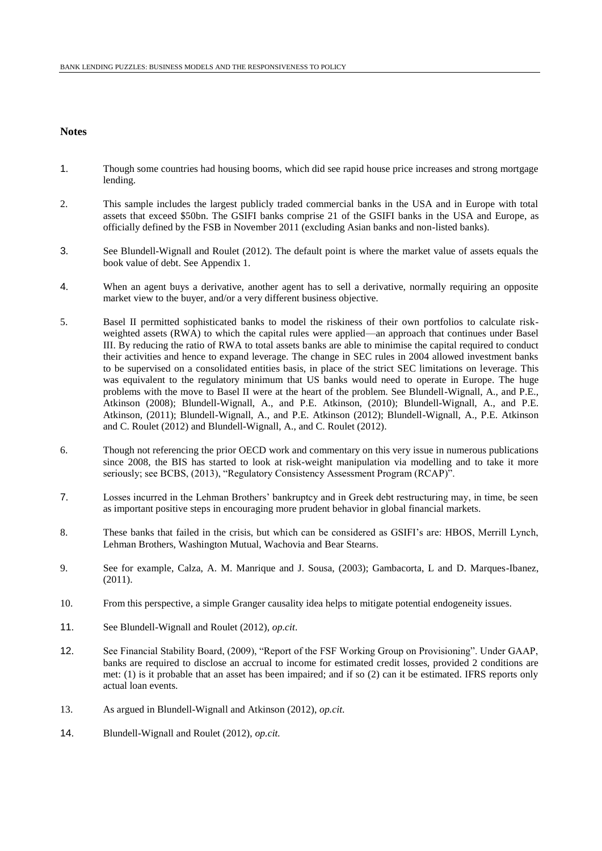#### **Notes**

- 1. Though some countries had housing booms, which did see rapid house price increases and strong mortgage lending.
- 2. This sample includes the largest publicly traded commercial banks in the USA and in Europe with total assets that exceed \$50bn. The GSIFI banks comprise 21 of the GSIFI banks in the USA and Europe, as officially defined by the FSB in November 2011 (excluding Asian banks and non-listed banks).
- 3. See Blundell-Wignall and Roulet (2012). The default point is where the market value of assets equals the book value of debt. See Appendix 1.
- 4. When an agent buys a derivative, another agent has to sell a derivative, normally requiring an opposite market view to the buyer, and/or a very different business objective.
- 5. Basel II permitted sophisticated banks to model the riskiness of their own portfolios to calculate riskweighted assets (RWA) to which the capital rules were applied—an approach that continues under Basel III. By reducing the ratio of RWA to total assets banks are able to minimise the capital required to conduct their activities and hence to expand leverage. The change in SEC rules in 2004 allowed investment banks to be supervised on a consolidated entities basis, in place of the strict SEC limitations on leverage. This was equivalent to the regulatory minimum that US banks would need to operate in Europe. The huge problems with the move to Basel II were at the heart of the problem. See Blundell-Wignall, A., and P.E., Atkinson (2008); Blundell-Wignall, A., and P.E. Atkinson, (2010); Blundell-Wignall, A., and P.E. Atkinson, (2011); Blundell-Wignall, A., and P.E. Atkinson (2012); Blundell-Wignall, A., P.E. Atkinson and C. Roulet (2012) and Blundell-Wignall, A., and C. Roulet (2012).
- 6. Though not referencing the prior OECD work and commentary on this very issue in numerous publications since 2008, the BIS has started to look at risk-weight manipulation via modelling and to take it more seriously; see BCBS, (2013), "Regulatory Consistency Assessment Program (RCAP)".
- 7. Losses incurred in the Lehman Brothers' bankruptcy and in Greek debt restructuring may, in time, be seen as important positive steps in encouraging more prudent behavior in global financial markets.
- 8. These banks that failed in the crisis, but which can be considered as GSIFI's are: HBOS, Merrill Lynch, Lehman Brothers, Washington Mutual, Wachovia and Bear Stearns.
- 9. See for example, Calza, A. M. Manrique and J. Sousa, (2003); Gambacorta, L and D. Marques-Ibanez, (2011).
- 10. From this perspective, a simple Granger causality idea helps to mitigate potential endogeneity issues.
- 11. See Blundell-Wignall and Roulet (2012), *op.cit*.
- 12. See Financial Stability Board, (2009), "Report of the FSF Working Group on Provisioning". Under GAAP, banks are required to disclose an accrual to income for estimated credit losses, provided 2 conditions are met: (1) is it probable that an asset has been impaired; and if so (2) can it be estimated. IFRS reports only actual loan events.
- 13. As argued in Blundell-Wignall and Atkinson (2012), *op.cit*.
- 14. Blundell-Wignall and Roulet (2012), *op.cit.*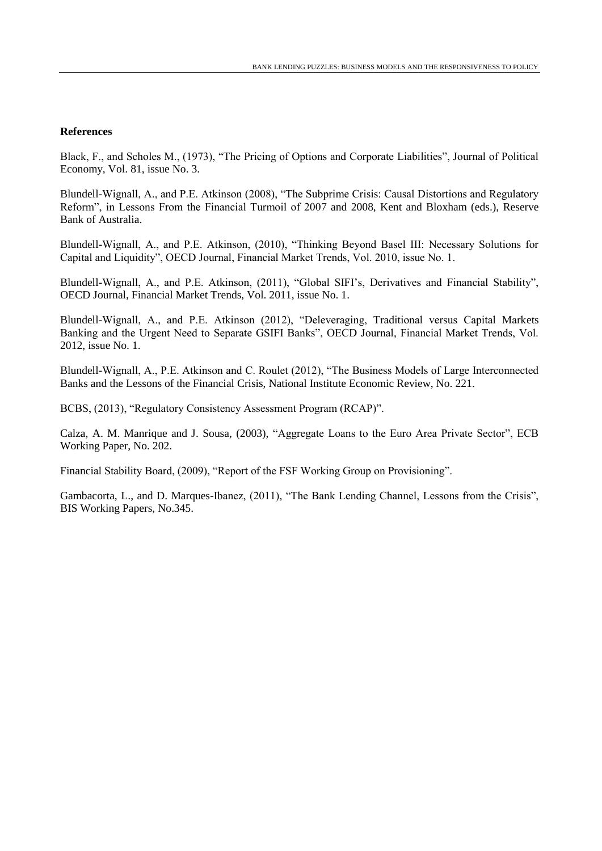## **References**

Black, F., and Scholes M., (1973), "The Pricing of Options and Corporate Liabilities", Journal of Political Economy, Vol. 81, issue No. 3.

Blundell-Wignall, A., and P.E. Atkinson (2008), "The Subprime Crisis: Causal Distortions and Regulatory Reform", in Lessons From the Financial Turmoil of 2007 and 2008, Kent and Bloxham (eds.), Reserve Bank of Australia.

Blundell-Wignall, A., and P.E. Atkinson, (2010), "Thinking Beyond Basel III: Necessary Solutions for Capital and Liquidity", OECD Journal, Financial Market Trends, Vol. 2010, issue No. 1.

Blundell-Wignall, A., and P.E. Atkinson, (2011), "Global SIFI's, Derivatives and Financial Stability", OECD Journal, Financial Market Trends, Vol. 2011, issue No. 1.

Blundell-Wignall, A., and P.E. Atkinson (2012), "Deleveraging, Traditional versus Capital Markets Banking and the Urgent Need to Separate GSIFI Banks", OECD Journal, Financial Market Trends, Vol. 2012, issue No. 1.

Blundell-Wignall, A., P.E. Atkinson and C. Roulet (2012), "The Business Models of Large Interconnected Banks and the Lessons of the Financial Crisis, National Institute Economic Review, No. 221.

BCBS, (2013), "Regulatory Consistency Assessment Program (RCAP)".

Calza, A. M. Manrique and J. Sousa, (2003), "Aggregate Loans to the Euro Area Private Sector", ECB Working Paper, No. 202.

Financial Stability Board, (2009), "Report of the FSF Working Group on Provisioning".

Gambacorta, L., and D. Marques-Ibanez, (2011), "The Bank Lending Channel, Lessons from the Crisis", BIS Working Papers, No.345.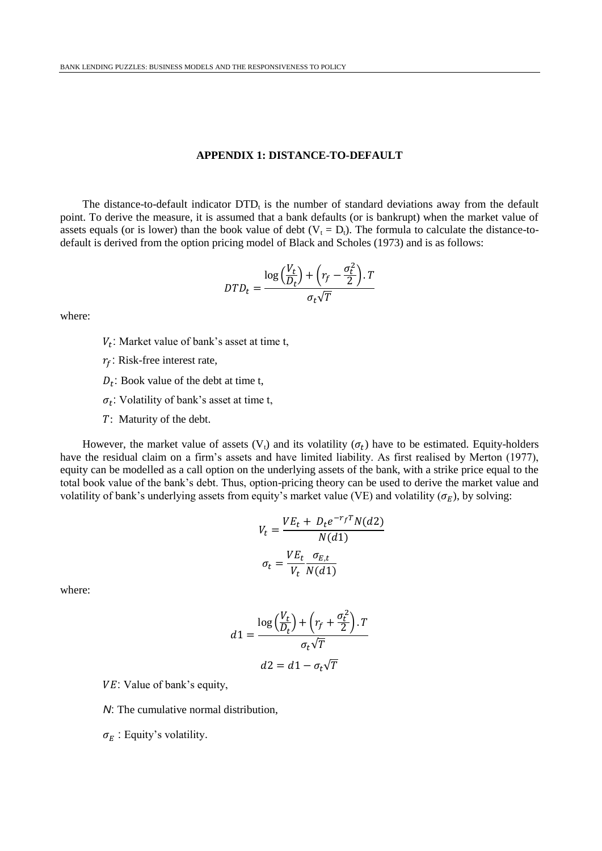#### **APPENDIX 1: DISTANCE-TO-DEFAULT**

The distance-to-default indicator  $DTD_t$  is the number of standard deviations away from the default point. To derive the measure, it is assumed that a bank defaults (or is bankrupt) when the market value of assets equals (or is lower) than the book value of debt  $(V_t = D_t)$ . The formula to calculate the distance-todefault is derived from the option pricing model of Black and Scholes (1973) and is as follows:

$$
DTD_t = \frac{\log\left(\frac{V_t}{D_t}\right) + \left(r_f - \frac{\sigma_t^2}{2}\right).T}{\sigma_t\sqrt{T}}
$$

where:

- $V_t$ : Market value of bank's asset at time t,
- $r_f$ : Risk-free interest rate,
- $D_t$ : Book value of the debt at time t,
- $\sigma_t$ : Volatility of bank's asset at time t,
- : Maturity of the debt.

However, the market value of assets  $(V_t)$  and its volatility  $(\sigma_t)$  have to be estimated. Equity-holders have the residual claim on a firm's assets and have limited liability. As first realised by Merton (1977), equity can be modelled as a call option on the underlying assets of the bank, with a strike price equal to the total book value of the bank's debt. Thus, option-pricing theory can be used to derive the market value and volatility of bank's underlying assets from equity's market value (VE) and volatility ( $\sigma_F$ ), by solving:

$$
V_t = \frac{VE_t + D_t e^{-r_f T} N(d2)}{N(d1)}
$$

$$
\sigma_t = \frac{VE_t}{V_t} \frac{\sigma_{E,t}}{N(d1)}
$$

where:

$$
d1 = \frac{\log\left(\frac{V_t}{D_t}\right) + \left(r_f + \frac{\sigma_t^2}{2}\right) \cdot T}{\sigma_t \sqrt{T}}
$$

$$
d2 = d1 - \sigma_t \sqrt{T}
$$

- VE: Value of bank's equity,
- *N*: The cumulative normal distribution,
- $\sigma_E$ : Equity's volatility.